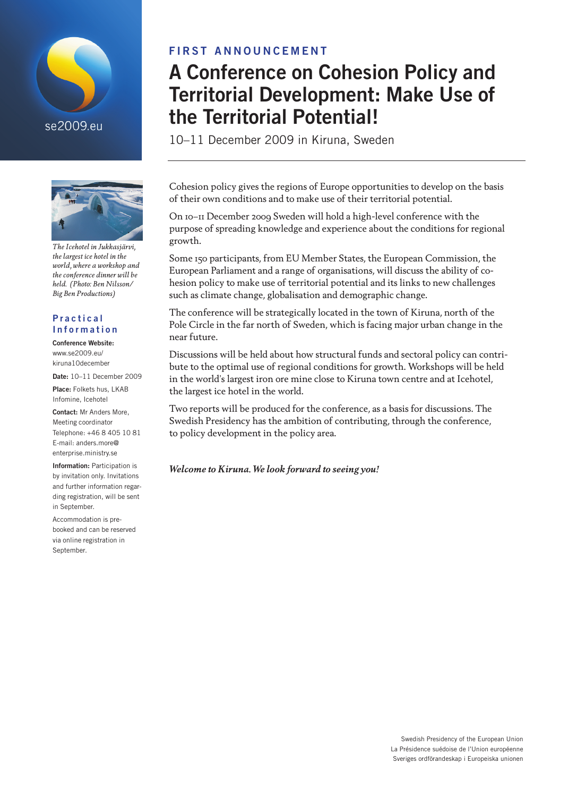



*The Icehotel in Jukkasjärvi, the largest ice hotel in the world, where a workshop and the conference dinner will be held. (Photo: Ben Nilsson/ Big Ben Productions)*

#### **Practical** Information

#### Conference Website:

www.se2009.eu/ kiruna10december

Date: 10-11 December 2009

Place: Folkets hus, LKAB Infomine, Icehotel

Contact: Mr Anders More Meeting coordinator Telephone: +46 8 405 10 81 E-mail: anders.more@ enterprise.ministry.se

Information: Participation is by invitation only. Invitations and further information regarding registration, will be sent in September.

Accommodation is prebooked and can be reserved via online registration in September.

## FIRST ANNOUNCEMENT

# A Conference on Cohesion Policy and Territorial Development: Make Use of the Territorial Potential!

10–11 December 2009 in Kiruna, Sweden

Cohesion policy gives the regions of Europe opportunities to develop on the basis of their own conditions and to make use of their territorial potential.

On 10–11 December 2009 Sweden will hold a high-level conference with the purpose of spreading knowledge and experience about the conditions for regional growth.

Some 150 participants, from EU Member States, the European Commission, the European Parliament and a range of organisations, will discuss the ability of cohesion policy to make use of territorial potential and its links to new challenges such as climate change, globalisation and demographic change.

The conference will be strategically located in the town of Kiruna, north of the Pole Circle in the far north of Sweden, which is facing major urban change in the near future.

Discussions will be held about how structural funds and sectoral policy can contribute to the optimal use of regional conditions for growth. Workshops will be held in the world's largest iron ore mine close to Kiruna town centre and at Icehotel, the largest ice hotel in the world.

Two reports will be produced for the conference, as a basis for discussions. The Swedish Presidency has the ambition of contributing, through the conference, to policy development in the policy area.

*Welcome to Kiruna. We look forward to seeing you!*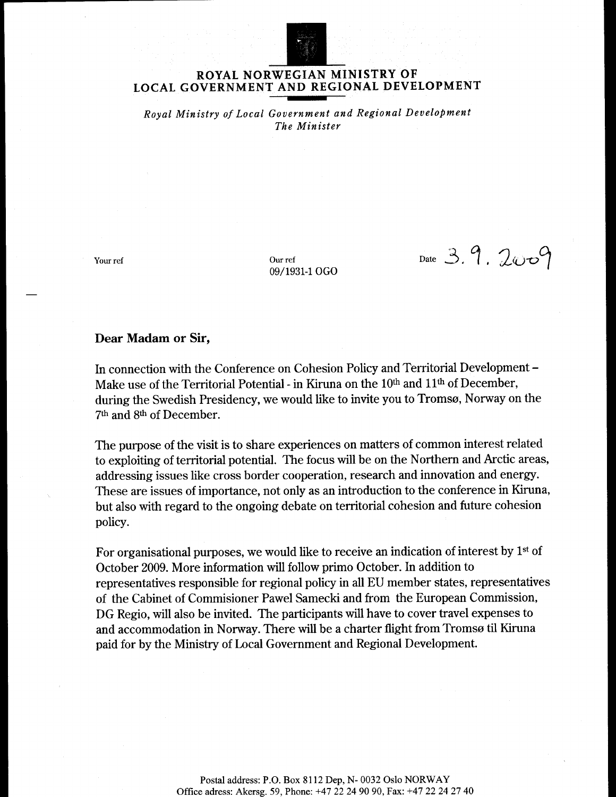

### ROYAL NORWEGIAN MINISTRY OF LOCAL GOVERNMENT AND REGIONAL DEVELOPMENT

Royal Ministry of Local Government and Regional Development The Minister

Your ref

Our ref 09/1931-1 OGO

Date 3.9.2009

#### Dear Madam or Sir,

In connection with the Conference on Cohesion Policy and Territorial Development -Make use of the Territorial Potential - in Kiruna on the 10<sup>th</sup> and 11<sup>th</sup> of December, during the Swedish Presidency, we would like to invite you to Tromsø, Norway on the 7th and 8th of December.

The purpose of the visit is to share experiences on matters of common interest related to exploiting of territorial potential. The focus will be on the Northern and Arctic areas, addressing issues like cross border cooperation, research and innovation and energy. These are issues of importance, not only as an introduction to the conference in Kiruna, but also with regard to the ongoing debate on territorial cohesion and future cohesion policy.

For organisational purposes, we would like to receive an indication of interest by  $1<sup>st</sup>$  of October 2009. More information will follow primo October. In addition to representatives responsible for regional policy in all EU member states, representatives of the Cabinet of Commisioner Pawel Samecki and from the European Commission, DG Regio, will also be invited. The participants will have to cover travel expenses to and accommodation in Norway. There will be a charter flight from Tromsø til Kiruna paid for by the Ministry of Local Government and Regional Development.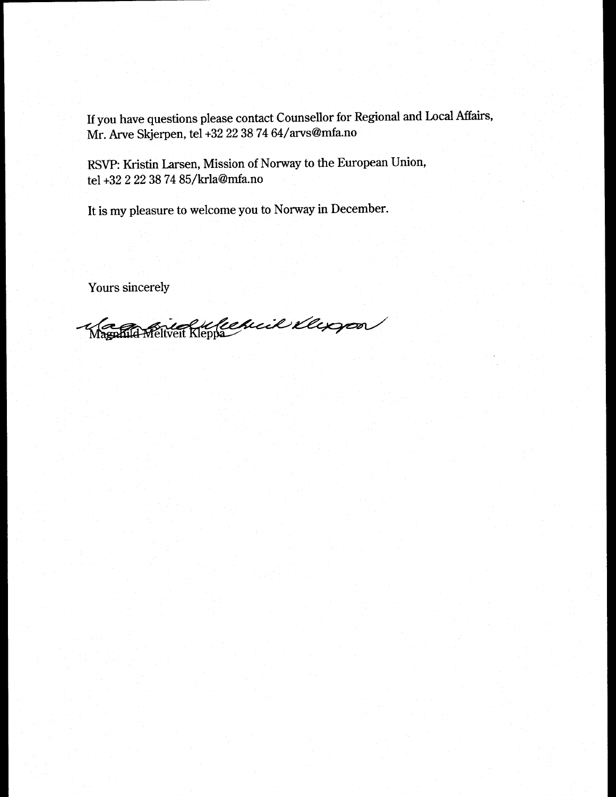If you have questions please contact Counsellor for Regional and Local Affairs, Mr. Arve Skjerpen, tel +32 22 38 74 64/arvs@mfa.no

RSVP: Kristin Larsen, Mission of Norway to the European Union, tel +32 2 22 38 74 85/krla@mfa.no

It is my pleasure to welcome you to Norway in December.

Yours sincerely

Magnul Religion Report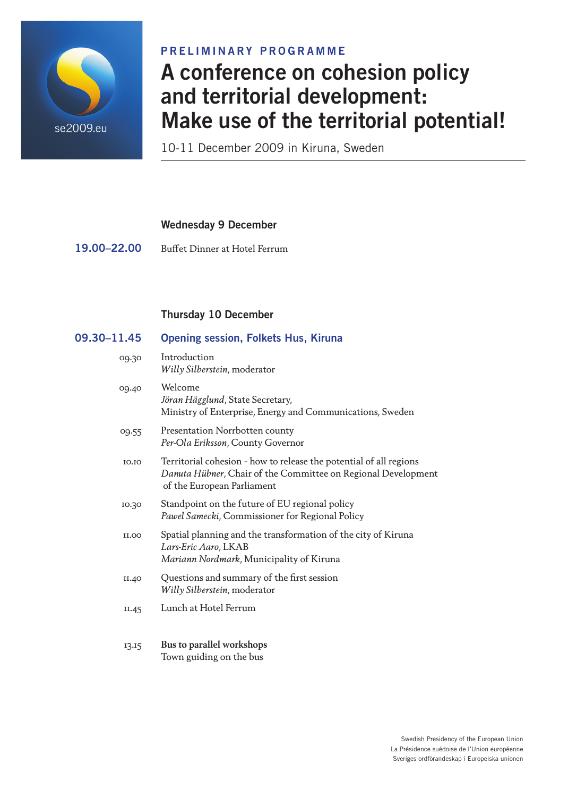

## PRELIMINARY PROGRAMME

# A conference on cohesion policy and territorial development: Make use of the territorial potential!

10-11 December 2009 in Kiruna, Sweden

| <b>Wednesday 9 December</b> |  |  |
|-----------------------------|--|--|
|-----------------------------|--|--|

19.00–22.00 Buffet Dinner at Hotel Ferrum

## Thursday 10 December

| 09.30-11.45  | <b>Opening session, Folkets Hus, Kiruna</b>                                                                                                                       |
|--------------|-------------------------------------------------------------------------------------------------------------------------------------------------------------------|
| 09.30        | Introduction<br>Willy Silberstein, moderator                                                                                                                      |
| 09.40        | Welcome<br>Jöran Hägglund, State Secretary,<br>Ministry of Enterprise, Energy and Communications, Sweden                                                          |
| 09.55        | Presentation Norrbotten county<br>Per-Ola Eriksson, County Governor                                                                                               |
| 10.10        | Territorial cohesion - how to release the potential of all regions<br>Danuta Hübner, Chair of the Committee on Regional Development<br>of the European Parliament |
| 10.30        | Standpoint on the future of EU regional policy<br>Pawel Samecki, Commissioner for Regional Policy                                                                 |
| <b>II.00</b> | Spatial planning and the transformation of the city of Kiruna<br>Lars-Eric Aaro, LKAB<br>Mariann Nordmark, Municipality of Kiruna                                 |
| II.40        | Questions and summary of the first session<br>Willy Silberstein, moderator                                                                                        |
| II.45        | Lunch at Hotel Ferrum                                                                                                                                             |
| 13.15        | Bus to parallel workshops<br>Town guiding on the bus                                                                                                              |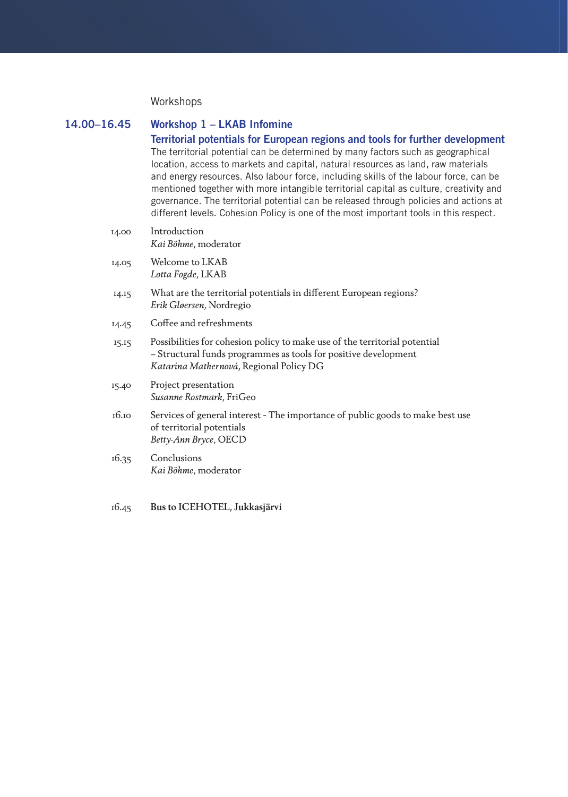#### Workshops

### 14.00–16.45 Workshop 1 – LKAB Infomine

Territorial potentials for European regions and tools for further development The territorial potential can be determined by many factors such as geographical location, access to markets and capital, natural resources as land, raw materials and energy resources. Also labour force, including skills of the labour force, can be mentioned together with more intangible territorial capital as culture, creativity and governance. The territorial potential can be released through policies and actions at different levels. Cohesion Policy is one of the most important tools in this respect.

| Welcome to LKAB<br>14.05<br>Lotta Fogde, LKAB<br>What are the territorial potentials in different European regions?<br>14.15<br>Erik Gløersen, Nordregio<br>Coffee and refreshments<br>14.45<br>Possibilities for cohesion policy to make use of the territorial potential<br>15.15<br>- Structural funds programmes as tools for positive development<br>Katarína Mathernová, Regional Policy DG<br>Project presentation<br>15.40<br>Susanne Rostmark, FriGeo<br>16.10<br>of territorial potentials<br>Betty-Ann Bryce, OECD<br>Conclusions<br>16.35<br>Kai Böhme, moderator | 14.00 | Introduction<br>Kai Böhme, moderator                                           |
|-------------------------------------------------------------------------------------------------------------------------------------------------------------------------------------------------------------------------------------------------------------------------------------------------------------------------------------------------------------------------------------------------------------------------------------------------------------------------------------------------------------------------------------------------------------------------------|-------|--------------------------------------------------------------------------------|
|                                                                                                                                                                                                                                                                                                                                                                                                                                                                                                                                                                               |       |                                                                                |
|                                                                                                                                                                                                                                                                                                                                                                                                                                                                                                                                                                               |       |                                                                                |
|                                                                                                                                                                                                                                                                                                                                                                                                                                                                                                                                                                               |       |                                                                                |
|                                                                                                                                                                                                                                                                                                                                                                                                                                                                                                                                                                               |       |                                                                                |
|                                                                                                                                                                                                                                                                                                                                                                                                                                                                                                                                                                               |       |                                                                                |
|                                                                                                                                                                                                                                                                                                                                                                                                                                                                                                                                                                               |       | Services of general interest - The importance of public goods to make best use |
|                                                                                                                                                                                                                                                                                                                                                                                                                                                                                                                                                                               |       |                                                                                |

#### 16.45 **Bus to ICEHOTEL, Jukkasjärvi**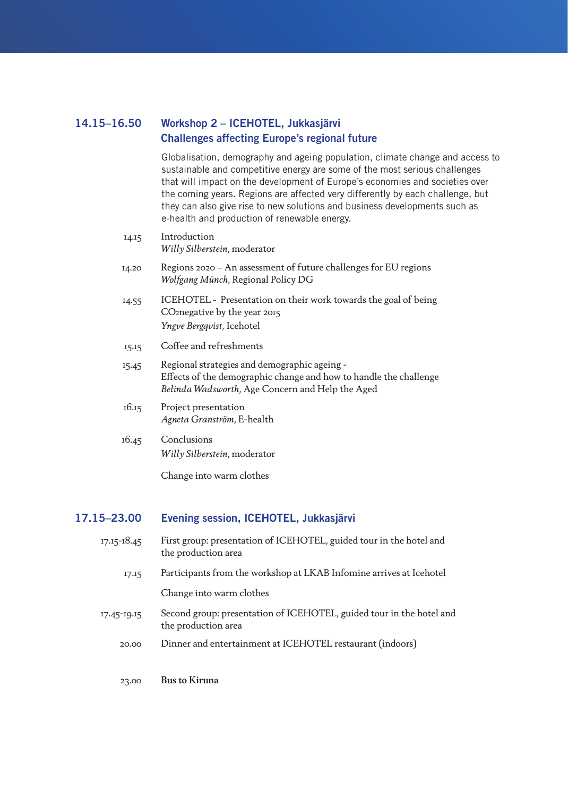## 14.15–16.50 Workshop 2 – ICEHOTEL, Jukkasjärvi Challenges affecting Europe's regional future

Globalisation, demography and ageing population, climate change and access to sustainable and competitive energy are some of the most serious challenges that will impact on the development of Europe's economies and societies over the coming years. Regions are affected very differently by each challenge, but they can also give rise to new solutions and business developments such as e-health and production of renewable energy.

| 14.15 | Introduction<br>Willy Silberstein, moderator                                                                                                                          |
|-------|-----------------------------------------------------------------------------------------------------------------------------------------------------------------------|
| 14.20 | Regions 2020 - An assessment of future challenges for EU regions<br>Wolfgang Münch, Regional Policy DG                                                                |
| 14.55 | ICEHOTEL - Presentation on their work towards the goal of being<br>CO <sub>2</sub> negative by the year 2015<br><i>Yngve Bergqvist</i> , Icehotel                     |
| 15.15 | Coffee and refreshments                                                                                                                                               |
| 15.45 | Regional strategies and demographic ageing -<br>Effects of the demographic change and how to handle the challenge<br>Belinda Wadsworth, Age Concern and Help the Aged |
| 16.15 | Project presentation<br>Agneta Granström, E-health                                                                                                                    |
| 16.45 | Conclusions<br>Willy Silberstein, moderator                                                                                                                           |
|       | Change into warm clothes                                                                                                                                              |

## 17.15–23.00 Evening session, ICEHOTEL, Jukkasjärvi

| $17.15 - 18.45$ | First group: presentation of ICEHOTEL, guided tour in the hotel and<br>the production area  |
|-----------------|---------------------------------------------------------------------------------------------|
| 17.15           | Participants from the workshop at LKAB Infomine arrives at Icehotel                         |
|                 | Change into warm clothes                                                                    |
| 17.45-19.15     | Second group: presentation of ICEHOTEL, guided tour in the hotel and<br>the production area |
| 20.00           | Dinner and entertainment at ICEHOTEL restaurant (indoors)                                   |
|                 |                                                                                             |
| 23.00           | <b>Bus to Kiruna</b>                                                                        |